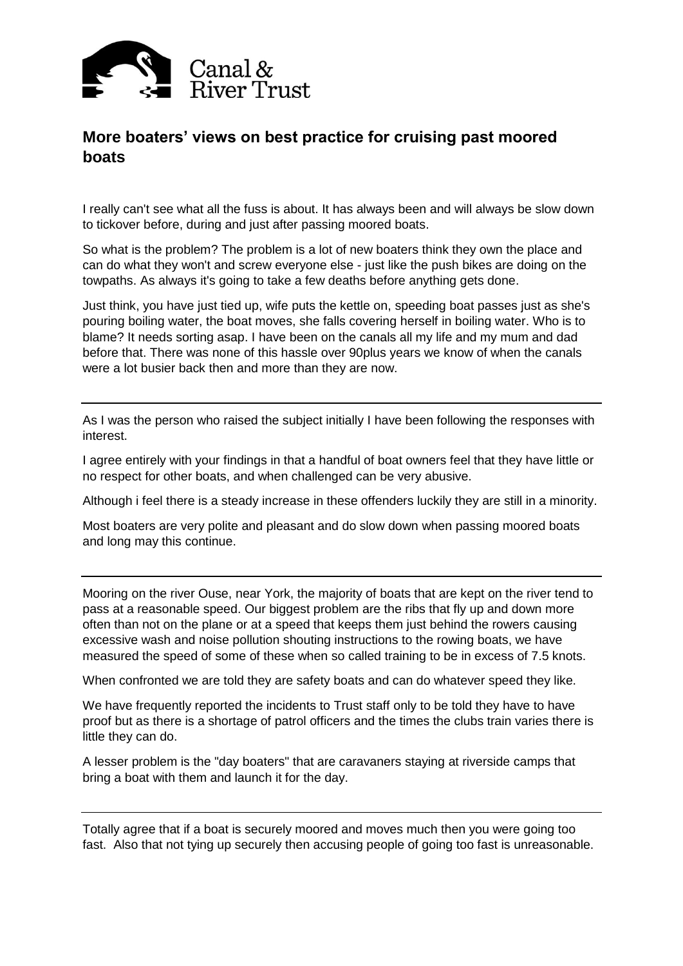

## **More boaters' views on best practice for cruising past moored boats**

I really can't see what all the fuss is about. It has always been and will always be slow down to tickover before, during and just after passing moored boats.

So what is the problem? The problem is a lot of new boaters think they own the place and can do what they won't and screw everyone else - just like the push bikes are doing on the towpaths. As always it's going to take a few deaths before anything gets done.

Just think, you have just tied up, wife puts the kettle on, speeding boat passes just as she's pouring boiling water, the boat moves, she falls covering herself in boiling water. Who is to blame? It needs sorting asap. I have been on the canals all my life and my mum and dad before that. There was none of this hassle over 90plus years we know of when the canals were a lot busier back then and more than they are now.

As I was the person who raised the subject initially I have been following the responses with interest.

I agree entirely with your findings in that a handful of boat owners feel that they have little or no respect for other boats, and when challenged can be very abusive.

Although i feel there is a steady increase in these offenders luckily they are still in a minority.

Most boaters are very polite and pleasant and do slow down when passing moored boats and long may this continue.

Mooring on the river Ouse, near York, the majority of boats that are kept on the river tend to pass at a reasonable speed. Our biggest problem are the ribs that fly up and down more often than not on the plane or at a speed that keeps them just behind the rowers causing excessive wash and noise pollution shouting instructions to the rowing boats, we have measured the speed of some of these when so called training to be in excess of 7.5 knots.

When confronted we are told they are safety boats and can do whatever speed they like.

We have frequently reported the incidents to Trust staff only to be told they have to have proof but as there is a shortage of patrol officers and the times the clubs train varies there is little they can do.

A lesser problem is the "day boaters" that are caravaners staying at riverside camps that bring a boat with them and launch it for the day.

Totally agree that if a boat is securely moored and moves much then you were going too fast. Also that not tying up securely then accusing people of going too fast is unreasonable.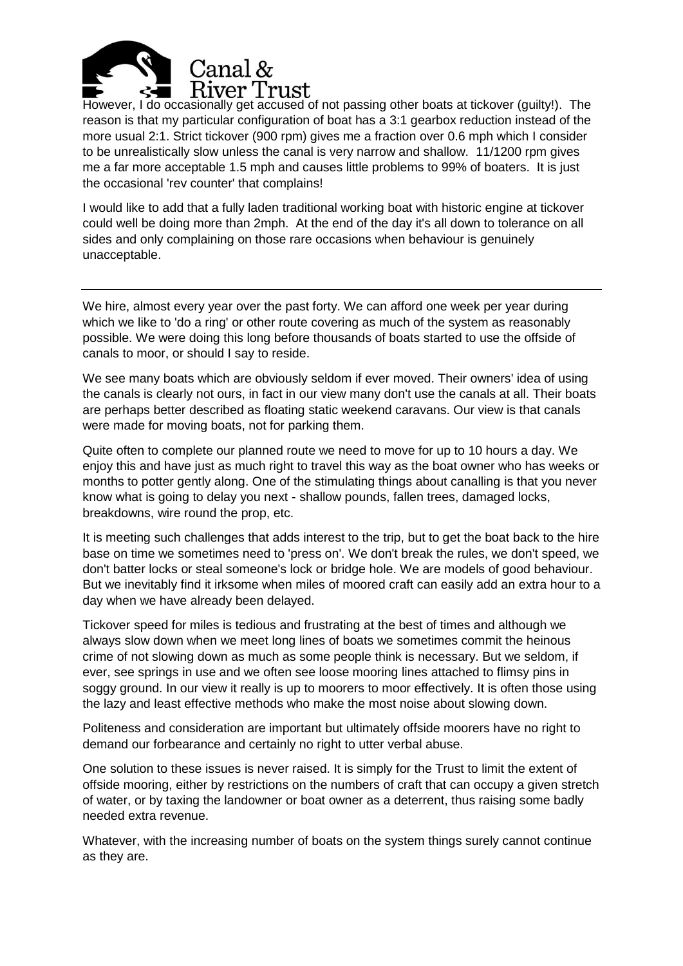

However, I do occasionally get accused of not passing other boats at tickover (guilty!). The reason is that my particular configuration of boat has a 3:1 gearbox reduction instead of the more usual 2:1. Strict tickover (900 rpm) gives me a fraction over 0.6 mph which I consider to be unrealistically slow unless the canal is very narrow and shallow. 11/1200 rpm gives me a far more acceptable 1.5 mph and causes little problems to 99% of boaters. It is just the occasional 'rev counter' that complains!

I would like to add that a fully laden traditional working boat with historic engine at tickover could well be doing more than 2mph. At the end of the day it's all down to tolerance on all sides and only complaining on those rare occasions when behaviour is genuinely unacceptable.

We hire, almost every year over the past forty. We can afford one week per year during which we like to 'do a ring' or other route covering as much of the system as reasonably possible. We were doing this long before thousands of boats started to use the offside of canals to moor, or should I say to reside.

We see many boats which are obviously seldom if ever moved. Their owners' idea of using the canals is clearly not ours, in fact in our view many don't use the canals at all. Their boats are perhaps better described as floating static weekend caravans. Our view is that canals were made for moving boats, not for parking them.

Quite often to complete our planned route we need to move for up to 10 hours a day. We enjoy this and have just as much right to travel this way as the boat owner who has weeks or months to potter gently along. One of the stimulating things about canalling is that you never know what is going to delay you next - shallow pounds, fallen trees, damaged locks, breakdowns, wire round the prop, etc.

It is meeting such challenges that adds interest to the trip, but to get the boat back to the hire base on time we sometimes need to 'press on'. We don't break the rules, we don't speed, we don't batter locks or steal someone's lock or bridge hole. We are models of good behaviour. But we inevitably find it irksome when miles of moored craft can easily add an extra hour to a day when we have already been delayed.

Tickover speed for miles is tedious and frustrating at the best of times and although we always slow down when we meet long lines of boats we sometimes commit the heinous crime of not slowing down as much as some people think is necessary. But we seldom, if ever, see springs in use and we often see loose mooring lines attached to flimsy pins in soggy ground. In our view it really is up to moorers to moor effectively. It is often those using the lazy and least effective methods who make the most noise about slowing down.

Politeness and consideration are important but ultimately offside moorers have no right to demand our forbearance and certainly no right to utter verbal abuse.

One solution to these issues is never raised. It is simply for the Trust to limit the extent of offside mooring, either by restrictions on the numbers of craft that can occupy a given stretch of water, or by taxing the landowner or boat owner as a deterrent, thus raising some badly needed extra revenue.

Whatever, with the increasing number of boats on the system things surely cannot continue as they are.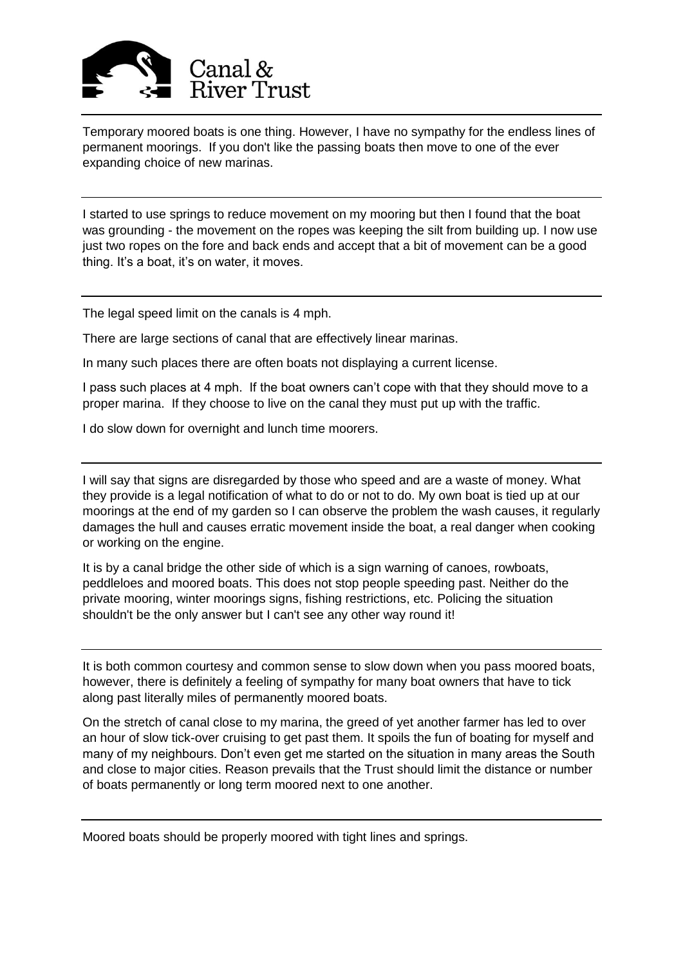

Temporary moored boats is one thing. However, I have no sympathy for the endless lines of permanent moorings. If you don't like the passing boats then move to one of the ever expanding choice of new marinas.

I started to use springs to reduce movement on my mooring but then I found that the boat was grounding - the movement on the ropes was keeping the silt from building up. I now use just two ropes on the fore and back ends and accept that a bit of movement can be a good thing. It's a boat, it's on water, it moves.

The legal speed limit on the canals is 4 mph.

There are large sections of canal that are effectively linear marinas.

In many such places there are often boats not displaying a current license.

I pass such places at 4 mph. If the boat owners can't cope with that they should move to a proper marina. If they choose to live on the canal they must put up with the traffic.

I do slow down for overnight and lunch time moorers.

I will say that signs are disregarded by those who speed and are a waste of money. What they provide is a legal notification of what to do or not to do. My own boat is tied up at our moorings at the end of my garden so I can observe the problem the wash causes, it regularly damages the hull and causes erratic movement inside the boat, a real danger when cooking or working on the engine.

It is by a canal bridge the other side of which is a sign warning of canoes, rowboats, peddleloes and moored boats. This does not stop people speeding past. Neither do the private mooring, winter moorings signs, fishing restrictions, etc. Policing the situation shouldn't be the only answer but I can't see any other way round it!

It is both common courtesy and common sense to slow down when you pass moored boats, however, there is definitely a feeling of sympathy for many boat owners that have to tick along past literally miles of permanently moored boats.

On the stretch of canal close to my marina, the greed of yet another farmer has led to over an hour of slow tick-over cruising to get past them. It spoils the fun of boating for myself and many of my neighbours. Don't even get me started on the situation in many areas the South and close to major cities. Reason prevails that the Trust should limit the distance or number of boats permanently or long term moored next to one another.

Moored boats should be properly moored with tight lines and springs.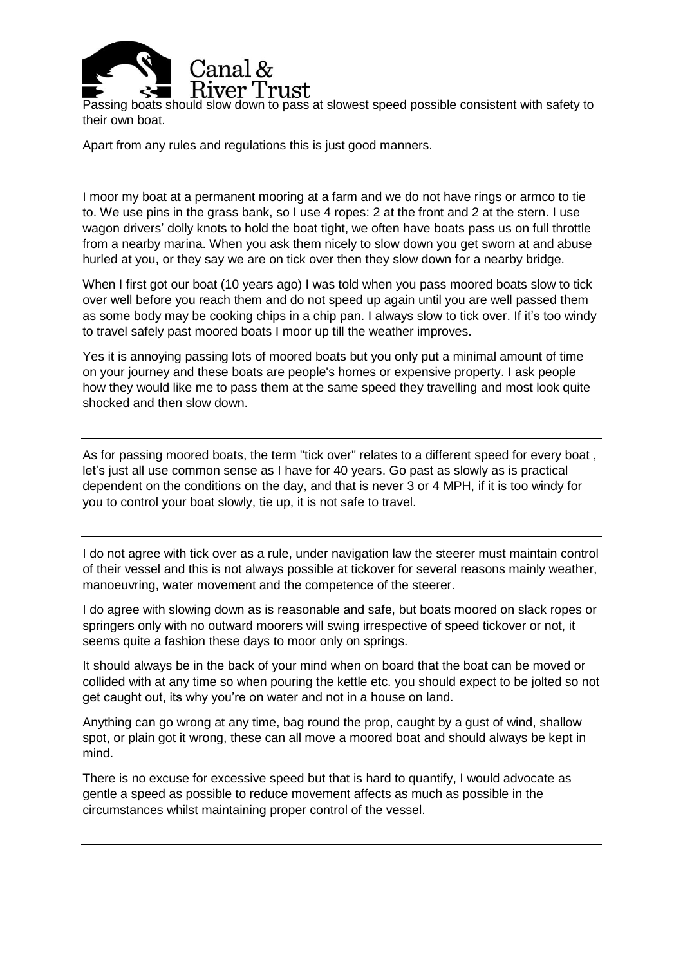

Passing boats should slow down to pass at slowest speed possible consistent with safety to their own boat.

Apart from any rules and regulations this is just good manners.

I moor my boat at a permanent mooring at a farm and we do not have rings or armco to tie to. We use pins in the grass bank, so I use 4 ropes: 2 at the front and 2 at the stern. I use wagon drivers' dolly knots to hold the boat tight, we often have boats pass us on full throttle from a nearby marina. When you ask them nicely to slow down you get sworn at and abuse hurled at you, or they say we are on tick over then they slow down for a nearby bridge.

When I first got our boat (10 years ago) I was told when you pass moored boats slow to tick over well before you reach them and do not speed up again until you are well passed them as some body may be cooking chips in a chip pan. I always slow to tick over. If it's too windy to travel safely past moored boats I moor up till the weather improves.

Yes it is annoying passing lots of moored boats but you only put a minimal amount of time on your journey and these boats are people's homes or expensive property. I ask people how they would like me to pass them at the same speed they travelling and most look quite shocked and then slow down.

As for passing moored boats, the term "tick over" relates to a different speed for every boat, let's just all use common sense as I have for 40 years. Go past as slowly as is practical dependent on the conditions on the day, and that is never 3 or 4 MPH, if it is too windy for you to control your boat slowly, tie up, it is not safe to travel.

I do not agree with tick over as a rule, under navigation law the steerer must maintain control of their vessel and this is not always possible at tickover for several reasons mainly weather, manoeuvring, water movement and the competence of the steerer.

I do agree with slowing down as is reasonable and safe, but boats moored on slack ropes or springers only with no outward moorers will swing irrespective of speed tickover or not, it seems quite a fashion these days to moor only on springs.

It should always be in the back of your mind when on board that the boat can be moved or collided with at any time so when pouring the kettle etc. you should expect to be jolted so not get caught out, its why you're on water and not in a house on land.

Anything can go wrong at any time, bag round the prop, caught by a gust of wind, shallow spot, or plain got it wrong, these can all move a moored boat and should always be kept in mind.

There is no excuse for excessive speed but that is hard to quantify, I would advocate as gentle a speed as possible to reduce movement affects as much as possible in the circumstances whilst maintaining proper control of the vessel.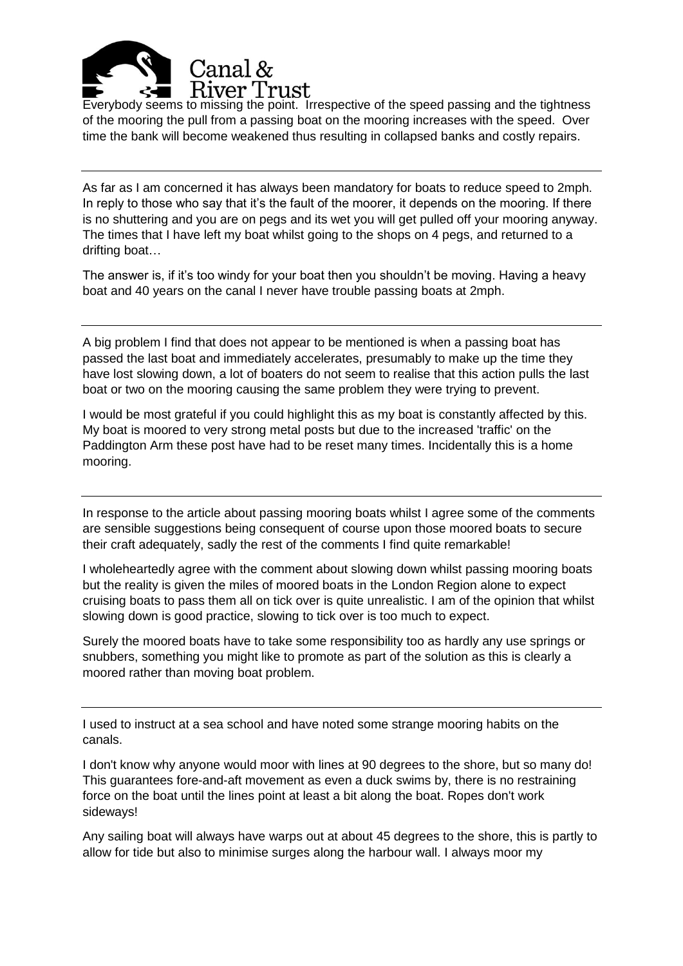

Everybody seems to missing the point. Irrespective of the speed passing and the tightness of the mooring the pull from a passing boat on the mooring increases with the speed. Over time the bank will become weakened thus resulting in collapsed banks and costly repairs.

As far as I am concerned it has always been mandatory for boats to reduce speed to 2mph. In reply to those who say that it's the fault of the moorer, it depends on the mooring. If there is no shuttering and you are on pegs and its wet you will get pulled off your mooring anyway. The times that I have left my boat whilst going to the shops on 4 pegs, and returned to a drifting boat…

The answer is, if it's too windy for your boat then you shouldn't be moving. Having a heavy boat and 40 years on the canal I never have trouble passing boats at 2mph.

A big problem I find that does not appear to be mentioned is when a passing boat has passed the last boat and immediately accelerates, presumably to make up the time they have lost slowing down, a lot of boaters do not seem to realise that this action pulls the last boat or two on the mooring causing the same problem they were trying to prevent.

I would be most grateful if you could highlight this as my boat is constantly affected by this. My boat is moored to very strong metal posts but due to the increased 'traffic' on the Paddington Arm these post have had to be reset many times. Incidentally this is a home mooring.

In response to the article about passing mooring boats whilst I agree some of the comments are sensible suggestions being consequent of course upon those moored boats to secure their craft adequately, sadly the rest of the comments I find quite remarkable!

I wholeheartedly agree with the comment about slowing down whilst passing mooring boats but the reality is given the miles of moored boats in the London Region alone to expect cruising boats to pass them all on tick over is quite unrealistic. I am of the opinion that whilst slowing down is good practice, slowing to tick over is too much to expect.

Surely the moored boats have to take some responsibility too as hardly any use springs or snubbers, something you might like to promote as part of the solution as this is clearly a moored rather than moving boat problem.

I used to instruct at a sea school and have noted some strange mooring habits on the canals.

I don't know why anyone would moor with lines at 90 degrees to the shore, but so many do! This guarantees fore-and-aft movement as even a duck swims by, there is no restraining force on the boat until the lines point at least a bit along the boat. Ropes don't work sideways!

Any sailing boat will always have warps out at about 45 degrees to the shore, this is partly to allow for tide but also to minimise surges along the harbour wall. I always moor my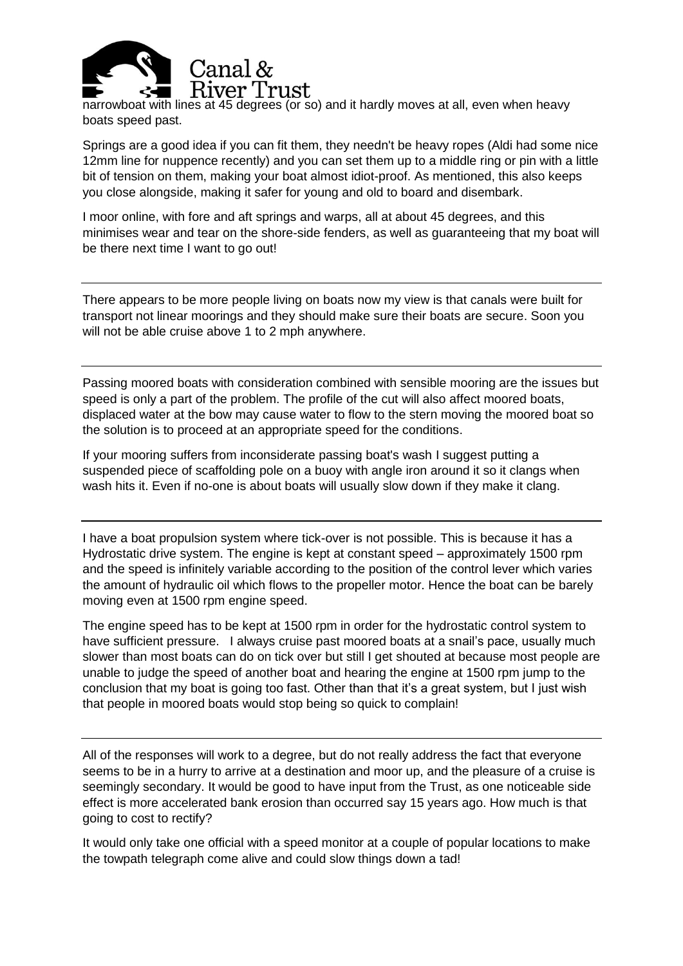

narrowboat with lines at 45 degrees (or so) and it hardly moves at all, even when heavy boats speed past.

Springs are a good idea if you can fit them, they needn't be heavy ropes (Aldi had some nice 12mm line for nuppence recently) and you can set them up to a middle ring or pin with a little bit of tension on them, making your boat almost idiot-proof. As mentioned, this also keeps you close alongside, making it safer for young and old to board and disembark.

I moor online, with fore and aft springs and warps, all at about 45 degrees, and this minimises wear and tear on the shore-side fenders, as well as guaranteeing that my boat will be there next time I want to go out!

There appears to be more people living on boats now my view is that canals were built for transport not linear moorings and they should make sure their boats are secure. Soon you will not be able cruise above 1 to 2 mph anywhere.

Passing moored boats with consideration combined with sensible mooring are the issues but speed is only a part of the problem. The profile of the cut will also affect moored boats, displaced water at the bow may cause water to flow to the stern moving the moored boat so the solution is to proceed at an appropriate speed for the conditions.

If your mooring suffers from inconsiderate passing boat's wash I suggest putting a suspended piece of scaffolding pole on a buoy with angle iron around it so it clangs when wash hits it. Even if no-one is about boats will usually slow down if they make it clang.

I have a boat propulsion system where tick-over is not possible. This is because it has a Hydrostatic drive system. The engine is kept at constant speed – approximately 1500 rpm and the speed is infinitely variable according to the position of the control lever which varies the amount of hydraulic oil which flows to the propeller motor. Hence the boat can be barely moving even at 1500 rpm engine speed.

The engine speed has to be kept at 1500 rpm in order for the hydrostatic control system to have sufficient pressure. I always cruise past moored boats at a snail's pace, usually much slower than most boats can do on tick over but still I get shouted at because most people are unable to judge the speed of another boat and hearing the engine at 1500 rpm jump to the conclusion that my boat is going too fast. Other than that it's a great system, but I just wish that people in moored boats would stop being so quick to complain!

All of the responses will work to a degree, but do not really address the fact that everyone seems to be in a hurry to arrive at a destination and moor up, and the pleasure of a cruise is seemingly secondary. It would be good to have input from the Trust, as one noticeable side effect is more accelerated bank erosion than occurred say 15 years ago. How much is that going to cost to rectify?

It would only take one official with a speed monitor at a couple of popular locations to make the towpath telegraph come alive and could slow things down a tad!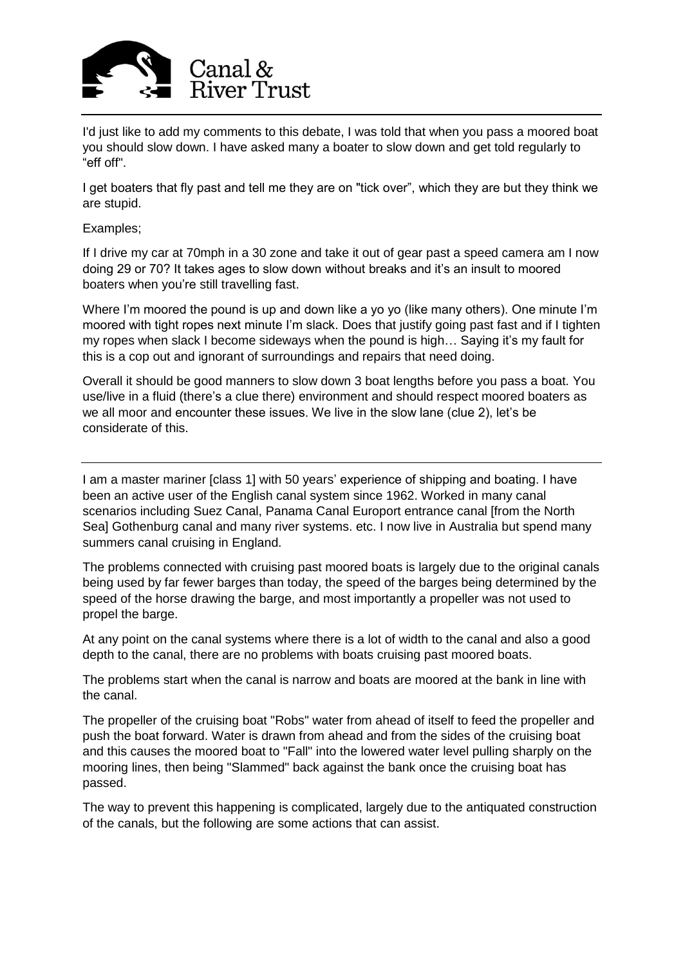

I'd just like to add my comments to this debate, I was told that when you pass a moored boat you should slow down. I have asked many a boater to slow down and get told regularly to "eff off".

I get boaters that fly past and tell me they are on "tick over", which they are but they think we are stupid.

## Examples;

If I drive my car at 70mph in a 30 zone and take it out of gear past a speed camera am I now doing 29 or 70? It takes ages to slow down without breaks and it's an insult to moored boaters when you're still travelling fast.

Where I'm moored the pound is up and down like a yo yo (like many others). One minute I'm moored with tight ropes next minute I'm slack. Does that justify going past fast and if I tighten my ropes when slack I become sideways when the pound is high… Saying it's my fault for this is a cop out and ignorant of surroundings and repairs that need doing.

Overall it should be good manners to slow down 3 boat lengths before you pass a boat. You use/live in a fluid (there's a clue there) environment and should respect moored boaters as we all moor and encounter these issues. We live in the slow lane (clue 2), let's be considerate of this.

I am a master mariner [class 1] with 50 years' experience of shipping and boating. I have been an active user of the English canal system since 1962. Worked in many canal scenarios including Suez Canal, Panama Canal Europort entrance canal [from the North Sea] Gothenburg canal and many river systems. etc. I now live in Australia but spend many summers canal cruising in England.

The problems connected with cruising past moored boats is largely due to the original canals being used by far fewer barges than today, the speed of the barges being determined by the speed of the horse drawing the barge, and most importantly a propeller was not used to propel the barge.

At any point on the canal systems where there is a lot of width to the canal and also a good depth to the canal, there are no problems with boats cruising past moored boats.

The problems start when the canal is narrow and boats are moored at the bank in line with the canal.

The propeller of the cruising boat "Robs" water from ahead of itself to feed the propeller and push the boat forward. Water is drawn from ahead and from the sides of the cruising boat and this causes the moored boat to "Fall" into the lowered water level pulling sharply on the mooring lines, then being "Slammed" back against the bank once the cruising boat has passed.

The way to prevent this happening is complicated, largely due to the antiquated construction of the canals, but the following are some actions that can assist.